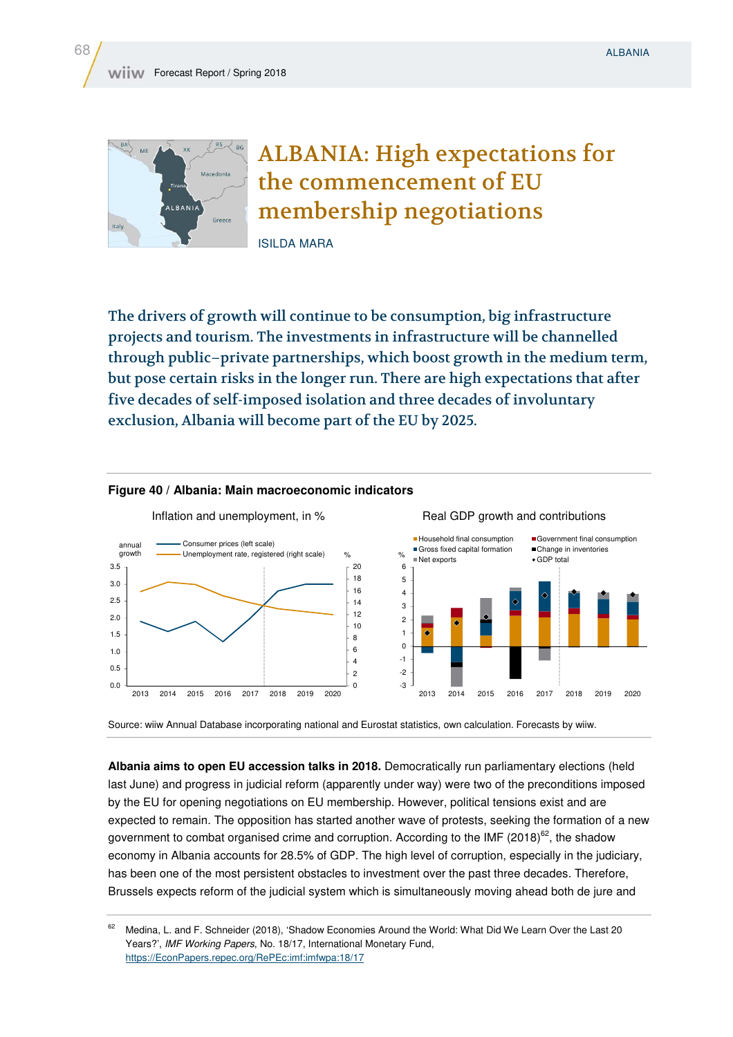

ALBANIA: High expectations for the commencement of EU membership negotiations

ISILDA MARA

The drivers of growth will continue to be consumption, big infrastructure projects and tourism. The investments in infrastructure will be channelled through public–private partnerships, which boost growth in the medium term, but pose certain risks in the longer run. There are high expectations that after five decades of self-imposed isolation and three decades of involuntary exclusion, Albania will become part of the EU by 2025.



## **Figure 40 / Albania: Main macroeconomic indicators**

Source: wiiw Annual Database incorporating national and Eurostat statistics, own calculation. Forecasts by wiiw.

**Albania aims to open EU accession talks in 2018.** Democratically run parliamentary elections (held last June) and progress in judicial reform (apparently under way) were two of the preconditions imposed by the EU for opening negotiations on EU membership. However, political tensions exist and are expected to remain. The opposition has started another wave of protests, seeking the formation of a new government to combat organised crime and corruption. According to the IMF (2018)<sup>62</sup>, the shadow economy in Albania accounts for 28.5% of GDP. The high level of corruption, especially in the judiciary, has been one of the most persistent obstacles to investment over the past three decades. Therefore, Brussels expects reform of the judicial system which is simultaneously moving ahead both de jure and

<sup>&</sup>lt;sup>62</sup> Medina, L. and F. Schneider (2018), 'Shadow Economies Around the World: What Did We Learn Over the Last 20 Years?', *IMF Working Papers*, No. 18/17, International Monetary Fund, https://EconPapers.repec.org/RePEc:imf:imfwpa:18/17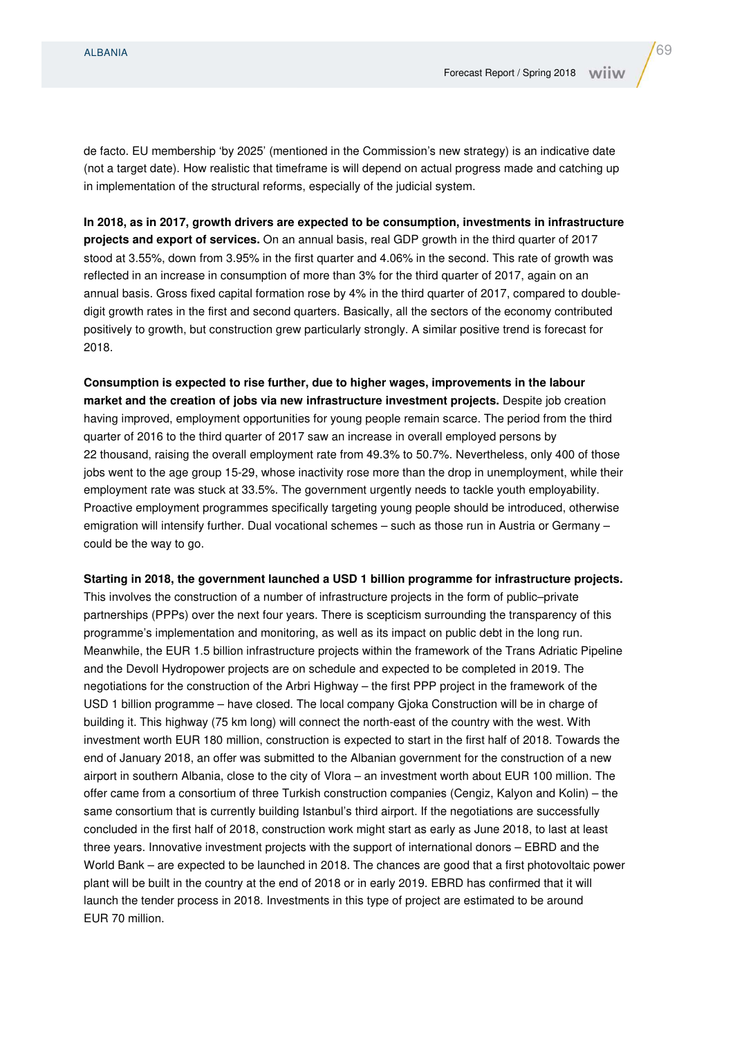de facto. EU membership 'by 2025' (mentioned in the Commission's new strategy) is an indicative date (not a target date). How realistic that timeframe is will depend on actual progress made and catching up in implementation of the structural reforms, especially of the judicial system.

**In 2018, as in 2017, growth drivers are expected to be consumption, investments in infrastructure projects and export of services.** On an annual basis, real GDP growth in the third quarter of 2017 stood at 3.55%, down from 3.95% in the first quarter and 4.06% in the second. This rate of growth was reflected in an increase in consumption of more than 3% for the third quarter of 2017, again on an annual basis. Gross fixed capital formation rose by 4% in the third quarter of 2017, compared to doubledigit growth rates in the first and second quarters. Basically, all the sectors of the economy contributed positively to growth, but construction grew particularly strongly. A similar positive trend is forecast for 2018.

**Consumption is expected to rise further, due to higher wages, improvements in the labour market and the creation of jobs via new infrastructure investment projects.** Despite job creation having improved, employment opportunities for young people remain scarce. The period from the third quarter of 2016 to the third quarter of 2017 saw an increase in overall employed persons by 22 thousand, raising the overall employment rate from 49.3% to 50.7%. Nevertheless, only 400 of those jobs went to the age group 15-29, whose inactivity rose more than the drop in unemployment, while their employment rate was stuck at 33.5%. The government urgently needs to tackle youth employability. Proactive employment programmes specifically targeting young people should be introduced, otherwise emigration will intensify further. Dual vocational schemes – such as those run in Austria or Germany – could be the way to go.

**Starting in 2018, the government launched a USD 1 billion programme for infrastructure projects.** 

This involves the construction of a number of infrastructure projects in the form of public–private partnerships (PPPs) over the next four years. There is scepticism surrounding the transparency of this programme's implementation and monitoring, as well as its impact on public debt in the long run. Meanwhile, the EUR 1.5 billion infrastructure projects within the framework of the Trans Adriatic Pipeline and the Devoll Hydropower projects are on schedule and expected to be completed in 2019. The negotiations for the construction of the Arbri Highway – the first PPP project in the framework of the USD 1 billion programme – have closed. The local company Gjoka Construction will be in charge of building it. This highway (75 km long) will connect the north-east of the country with the west. With investment worth EUR 180 million, construction is expected to start in the first half of 2018. Towards the end of January 2018, an offer was submitted to the Albanian government for the construction of a new airport in southern Albania, close to the city of Vlora – an investment worth about EUR 100 million. The offer came from a consortium of three Turkish construction companies (Cengiz, Kalyon and Kolin) – the same consortium that is currently building Istanbul's third airport. If the negotiations are successfully concluded in the first half of 2018, construction work might start as early as June 2018, to last at least three years. Innovative investment projects with the support of international donors – EBRD and the World Bank – are expected to be launched in 2018. The chances are good that a first photovoltaic power plant will be built in the country at the end of 2018 or in early 2019. EBRD has confirmed that it will launch the tender process in 2018. Investments in this type of project are estimated to be around EUR 70 million.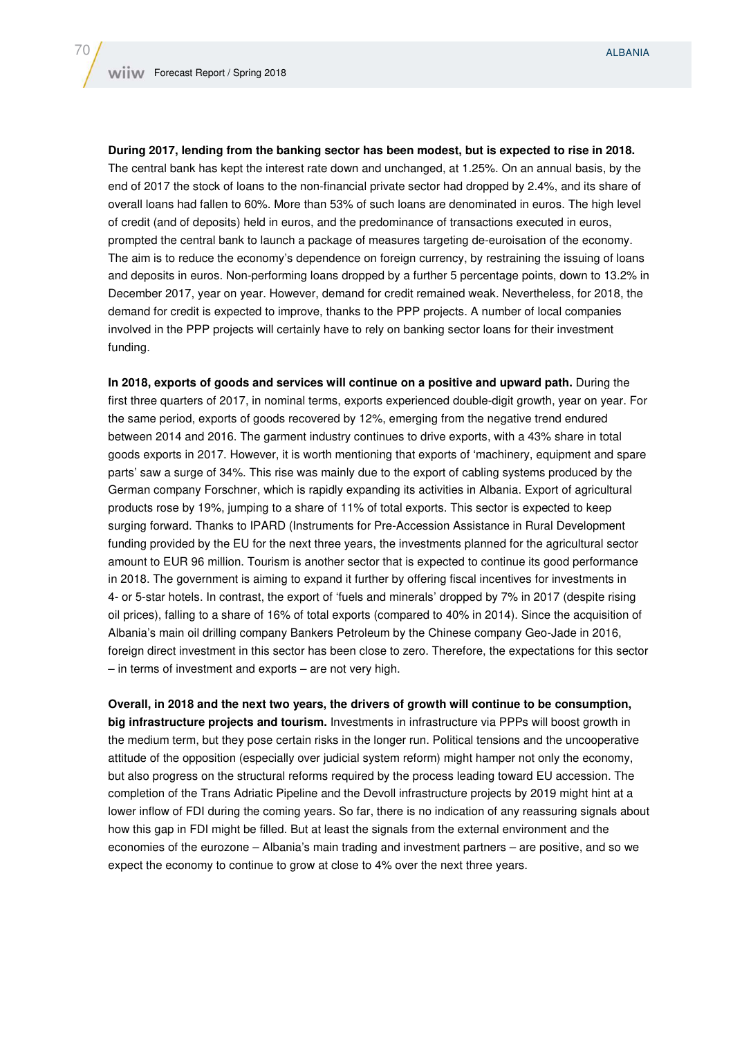**During 2017, lending from the banking sector has been modest, but is expected to rise in 2018.** The central bank has kept the interest rate down and unchanged, at 1.25%. On an annual basis, by the end of 2017 the stock of loans to the non-financial private sector had dropped by 2.4%, and its share of overall loans had fallen to 60%. More than 53% of such loans are denominated in euros. The high level of credit (and of deposits) held in euros, and the predominance of transactions executed in euros, prompted the central bank to launch a package of measures targeting de-euroisation of the economy. The aim is to reduce the economy's dependence on foreign currency, by restraining the issuing of loans and deposits in euros. Non-performing loans dropped by a further 5 percentage points, down to 13.2% in December 2017, year on year. However, demand for credit remained weak. Nevertheless, for 2018, the demand for credit is expected to improve, thanks to the PPP projects. A number of local companies involved in the PPP projects will certainly have to rely on banking sector loans for their investment funding.

**In 2018, exports of goods and services will continue on a positive and upward path.** During the first three quarters of 2017, in nominal terms, exports experienced double-digit growth, year on year. For the same period, exports of goods recovered by 12%, emerging from the negative trend endured between 2014 and 2016. The garment industry continues to drive exports, with a 43% share in total goods exports in 2017. However, it is worth mentioning that exports of 'machinery, equipment and spare parts' saw a surge of 34%. This rise was mainly due to the export of cabling systems produced by the German company Forschner, which is rapidly expanding its activities in Albania. Export of agricultural products rose by 19%, jumping to a share of 11% of total exports. This sector is expected to keep surging forward. Thanks to IPARD (Instruments for Pre-Accession Assistance in Rural Development funding provided by the EU for the next three years, the investments planned for the agricultural sector amount to EUR 96 million. Tourism is another sector that is expected to continue its good performance in 2018. The government is aiming to expand it further by offering fiscal incentives for investments in 4- or 5-star hotels. In contrast, the export of 'fuels and minerals' dropped by 7% in 2017 (despite rising oil prices), falling to a share of 16% of total exports (compared to 40% in 2014). Since the acquisition of Albania's main oil drilling company Bankers Petroleum by the Chinese company Geo-Jade in 2016, foreign direct investment in this sector has been close to zero. Therefore, the expectations for this sector – in terms of investment and exports – are not very high.

**Overall, in 2018 and the next two years, the drivers of growth will continue to be consumption, big infrastructure projects and tourism.** Investments in infrastructure via PPPs will boost growth in the medium term, but they pose certain risks in the longer run. Political tensions and the uncooperative attitude of the opposition (especially over judicial system reform) might hamper not only the economy, but also progress on the structural reforms required by the process leading toward EU accession. The completion of the Trans Adriatic Pipeline and the Devoll infrastructure projects by 2019 might hint at a lower inflow of FDI during the coming years. So far, there is no indication of any reassuring signals about how this gap in FDI might be filled. But at least the signals from the external environment and the economies of the eurozone – Albania's main trading and investment partners – are positive, and so we expect the economy to continue to grow at close to 4% over the next three years.